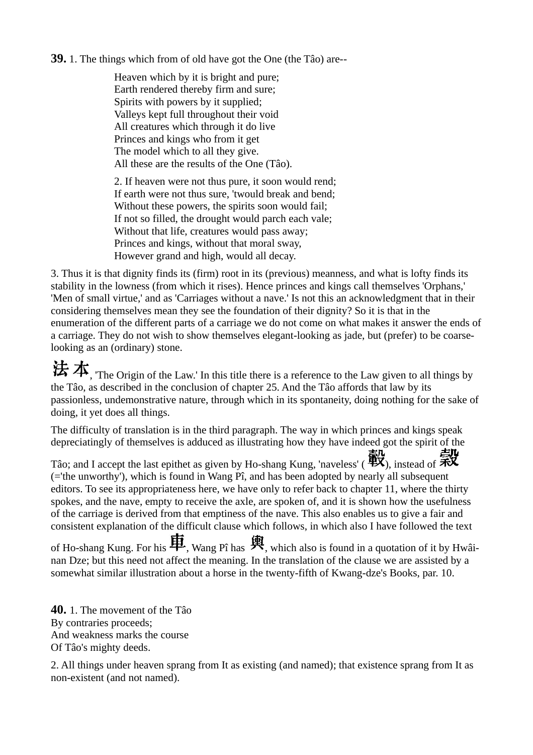## **39.** 1. The things which from of old have got the One (the Tâo) are--

Heaven which by it is bright and pure; Earth rendered thereby firm and sure; Spirits with powers by it supplied; Valleys kept full throughout their void All creatures which through it do live Princes and kings who from it get The model which to all they give. All these are the results of the One (Tâo).

2. If heaven were not thus pure, it soon would rend; If earth were not thus sure, 'twould break and bend; Without these powers, the spirits soon would fail; If not so filled, the drought would parch each vale; Without that life, creatures would pass away; Princes and kings, without that moral sway, However grand and high, would all decay.

3. Thus it is that dignity finds its (firm) root in its (previous) meanness, and what is lofty finds its stability in the lowness (from which it rises). Hence princes and kings call themselves 'Orphans,' 'Men of small virtue,' and as 'Carriages without a nave.' Is not this an acknowledgment that in their considering themselves mean they see the foundation of their dignity? So it is that in the enumeration of the different parts of a carriage we do not come on what makes it answer the ends of a carriage. They do not wish to show themselves elegant-looking as jade, but (prefer) to be coarselooking as an (ordinary) stone.

 $\bigstar$ , The Origin of the Law.' In this title there is a reference to the Law given to all things by the Tâo, as described in the conclusion of chapter 25. And the Tâo affords that law by its passionless, undemonstrative nature, through which in its spontaneity, doing nothing for the sake of doing, it yet does all things.

The difficulty of translation is in the third paragraph. The way in which princes and kings speak depreciatingly of themselves is adduced as illustrating how they have indeed got the spirit of the

Tâo; and I accept the last epithet as given by Ho-shang Kung, 'naveless' ( $\mathbb{R}^3$ ), instead of  $\mathbb{R}^3$ (='the unworthy'), which is found in Wang Pî, and has been adopted by nearly all subsequent editors. To see its appropriateness here, we have only to refer back to chapter 11, where the thirty spokes, and the nave, empty to receive the axle, are spoken of, and it is shown how the usefulness of the carriage is derived from that emptiness of the nave. This also enables us to give a fair and consistent explanation of the difficult clause which follows, in which also I have followed the text

of Ho-shang Kung. For his  $\blacksquare$ , Wang Pî has  $\frak R$ , which also is found in a quotation of it by Hwâinan Dze; but this need not affect the meaning. In the translation of the clause we are assisted by a somewhat similar illustration about a horse in the twenty-fifth of Kwang-dze's Books, par. 10.

**40.** 1. The movement of the Tâo By contraries proceeds; And weakness marks the course Of Tâo's mighty deeds.

2. All things under heaven sprang from It as existing (and named); that existence sprang from It as non-existent (and not named).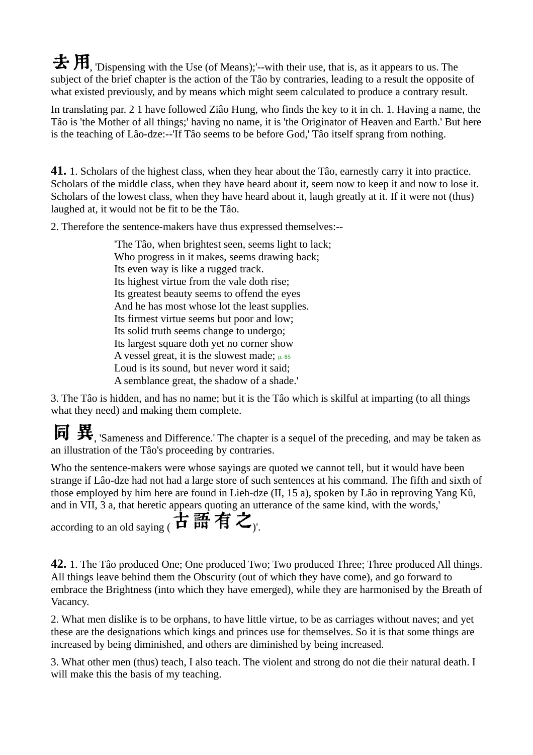$\bigstar$   $\mathbf{H}$ , 'Dispensing with the Use (of Means);'--with their use, that is, as it appears to us. The subject of the brief chapter is the action of the Tâo by contraries, leading to a result the opposite of what existed previously, and by means which might seem calculated to produce a contrary result.

In translating par. 2 1 have followed Ziâo Hung, who finds the key to it in ch. 1. Having a name, the Tâo is 'the Mother of all things;' having no name, it is 'the Originator of Heaven and Earth.' But here is the teaching of Lâo-dze:--'If Tâo seems to be before God,' Tâo itself sprang from nothing.

**41.** 1. Scholars of the highest class, when they hear about the Tâo, earnestly carry it into practice. Scholars of the middle class, when they have heard about it, seem now to keep it and now to lose it. Scholars of the lowest class, when they have heard about it, laugh greatly at it. If it were not (thus) laughed at, it would not be fit to be the Tâo.

2. Therefore the sentence-makers have thus expressed themselves:--

'The Tâo, when brightest seen, seems light to lack; Who progress in it makes, seems drawing back; Its even way is like a rugged track. Its highest virtue from the vale doth rise; Its greatest beauty seems to offend the eyes And he has most whose lot the least supplies. Its firmest virtue seems but poor and low; Its solid truth seems change to undergo; Its largest square doth yet no corner show A vessel great, it is the slowest made;  $p. 85$ Loud is its sound, but never word it said; A semblance great, the shadow of a shade.'

3. The Tâo is hidden, and has no name; but it is the Tâo which is skilful at imparting (to all things what they need) and making them complete.

同 異, 'Sameness and Difference.' The chapter is a sequel of the preceding, and may be taken as an illustration of the Tâo's proceeding by contraries.

Who the sentence-makers were whose sayings are quoted we cannot tell, but it would have been strange if Lâo-dze had not had a large store of such sentences at his command. The fifth and sixth of those employed by him here are found in Lieh-dze (II, 15 a), spoken by Lâo in reproving Yang Kû, and in VII, 3 a, that heretic appears quoting an utterance of the same kind, with the words,'

according to an old saying  $\overrightarrow{H}$  語有之,

**42.** 1. The Tâo produced One; One produced Two; Two produced Three; Three produced All things. All things leave behind them the Obscurity (out of which they have come), and go forward to embrace the Brightness (into which they have emerged), while they are harmonised by the Breath of Vacancy.

2. What men dislike is to be orphans, to have little virtue, to be as carriages without naves; and yet these are the designations which kings and princes use for themselves. So it is that some things are increased by being diminished, and others are diminished by being increased.

3. What other men (thus) teach, I also teach. The violent and strong do not die their natural death. I will make this the basis of my teaching.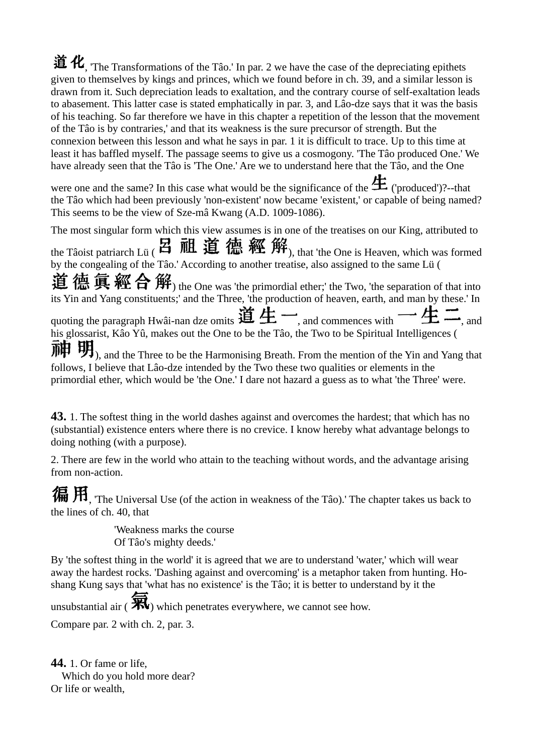$\hat{\mathbf{a}}$   $\hat{\mathbf{R}}$ <sub>.</sub> 'The Transformations of the Tâo.' In par. 2 we have the case of the depreciating epithets given to themselves by kings and princes, which we found before in ch. 39, and a similar lesson is drawn from it. Such depreciation leads to exaltation, and the contrary course of self-exaltation leads to abasement. This latter case is stated emphatically in par. 3, and Lâo-dze says that it was the basis of his teaching. So far therefore we have in this chapter a repetition of the lesson that the movement of the Tâo is by contraries,' and that its weakness is the sure precursor of strength. But the connexion between this lesson and what he says in par. 1 it is difficult to trace. Up to this time at least it has baffled myself. The passage seems to give us a cosmogony. 'The Tâo produced One.' We have already seen that the Tâo is 'The One.' Are we to understand here that the Tâo, and the One

were one and the same? In this case what would be the significance of the  $\pm$  ('produced')?--that the Tâo which had been previously 'non-existent' now became 'existent,' or capable of being named? This seems to be the view of Sze-mâ Kwang (A.D. 1009-1086).

The most singular form which this view assumes is in one of the treatises on our King, attributed to the Tâoist patriarch Lü ( 2 祖 道 德 經 解, that 'the One is Heaven, which was formed by the congealing of the Tâo.' According to another treatise, also assigned to the same Lü ( 道德真經合解) the One was 'the primordial ether;' the Two, 'the separation of that into its Yin and Yang constituents;' and the Three, 'the production of heaven, earth, and man by these.' In quoting the paragraph Hwâi-nan dze omits 道生一, and commences with 一生: his glossarist, Kâo Yû, makes out the One to be the Tâo, the Two to be Spiritual Intelligences (  $\mathbf{H}$ , and the Three to be the Harmonising Breath. From the mention of the Yin and Yang that follows, I believe that Lâo-dze intended by the Two these two qualities or elements in the primordial ether, which would be 'the One.' I dare not hazard a guess as to what 'the Three' were.

**43.** 1. The softest thing in the world dashes against and overcomes the hardest; that which has no (substantial) existence enters where there is no crevice. I know hereby what advantage belongs to doing nothing (with a purpose).

2. There are few in the world who attain to the teaching without words, and the advantage arising from non-action.

偏 用, The Universal Use (of the action in weakness of the Tâo).' The chapter takes us back to the lines of ch. 40, that

> 'Weakness marks the course Of Tâo's mighty deeds.'

By 'the softest thing in the world' it is agreed that we are to understand 'water,' which will wear away the hardest rocks. 'Dashing against and overcoming' is a metaphor taken from hunting. Hoshang Kung says that 'what has no existence' is the Tâo; it is better to understand by it the

unsubstantial air ( $\mathcal{H}$ ) which penetrates everywhere, we cannot see how.

Compare par. 2 with ch. 2, par. 3.

**44.** 1. Or fame or life, Which do you hold more dear? Or life or wealth,